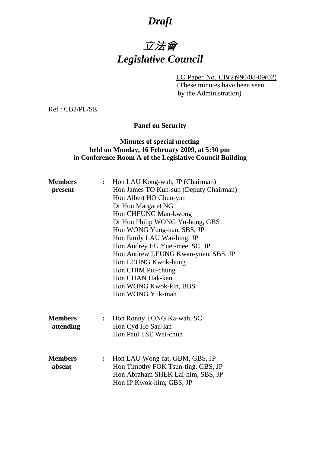## *Draft*

## 立法會 *Legislative Council*

LC Paper No. CB(2)990/08-09(02)

(These minutes have been seen by the Administration)

Ref : CB2/PL/SE

**Panel on Security** 

## **Minutes of special meeting held on Monday, 16 February 2009, at 5:30 pm in Conference Room A of the Legislative Council Building**

| <b>Members</b> | $\ddot{\cdot}$ | Hon LAU Kong-wah, JP (Chairman)        |
|----------------|----------------|----------------------------------------|
| present        |                | Hon James TO Kun-sun (Deputy Chairman) |
|                |                | Hon Albert HO Chun-yan                 |
|                |                | Dr Hon Margaret NG                     |
|                |                | Hon CHEUNG Man-kwong                   |
|                |                | Dr Hon Philip WONG Yu-hong, GBS        |
|                |                | Hon WONG Yung-kan, SBS, JP             |
|                |                | Hon Emily LAU Wai-hing, JP             |
|                |                | Hon Audrey EU Yuet-mee, SC, JP         |
|                |                | Hon Andrew LEUNG Kwan-yuen, SBS, JP    |
|                |                | Hon LEUNG Kwok-hung                    |
|                |                | Hon CHIM Pui-chung                     |
|                |                | Hon CHAN Hak-kan                       |
|                |                | Hon WONG Kwok-kin, BBS                 |
|                |                | Hon WONG Yuk-man                       |
|                |                |                                        |
|                |                |                                        |
| <b>Members</b> | $\ddot{\cdot}$ | Hon Ronny TONG Ka-wah, SC              |
| attending      |                | Hon Cyd Ho Sau-lan                     |
|                |                | Hon Paul TSE Wai-chun                  |
|                |                |                                        |
| <b>Members</b> |                |                                        |
| absent         | $\ddot{\cdot}$ | Hon LAU Wong-fat, GBM, GBS, JP         |
|                |                | Hon Timothy FOK Tsun-ting, GBS, JP     |
|                |                | Hon Abraham SHEK Lai-him, SBS, JP      |
|                |                | Hon IP Kwok-him, GBS, JP               |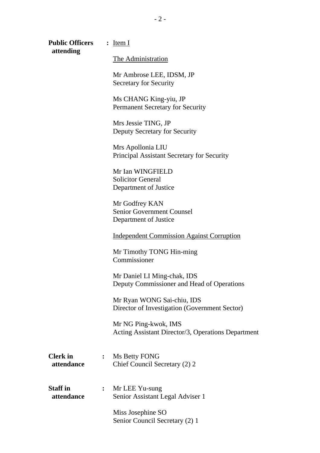| <b>Public Officers</b><br>attending |                | $:$ Item I                                                                  |
|-------------------------------------|----------------|-----------------------------------------------------------------------------|
|                                     |                | The Administration                                                          |
|                                     |                | Mr Ambrose LEE, IDSM, JP<br><b>Secretary for Security</b>                   |
|                                     |                | Ms CHANG King-yiu, JP<br>Permanent Secretary for Security                   |
|                                     |                | Mrs Jessie TING, JP<br>Deputy Secretary for Security                        |
|                                     |                | Mrs Apollonia LIU<br>Principal Assistant Secretary for Security             |
|                                     |                | Mr Ian WINGFIELD<br><b>Solicitor General</b><br>Department of Justice       |
|                                     |                | Mr Godfrey KAN<br><b>Senior Government Counsel</b><br>Department of Justice |
|                                     |                | <b>Independent Commission Against Corruption</b>                            |
|                                     |                | Mr Timothy TONG Hin-ming<br>Commissioner                                    |
|                                     |                | Mr Daniel LI Ming-chak, IDS<br>Deputy Commissioner and Head of Operations   |
|                                     |                | Mr Ryan WONG Sai-chiu, IDS<br>Director of Investigation (Government Sector) |
|                                     |                | Mr NG Ping-kwok, IMS<br>Acting Assistant Director/3, Operations Department  |
| <b>Clerk</b> in<br>attendance       | $\ddot{\cdot}$ | Ms Betty FONG<br>Chief Council Secretary (2) 2                              |
| <b>Staff</b> in<br>attendance       | ፡              | Mr LEE Yu-sung<br>Senior Assistant Legal Adviser 1                          |
|                                     |                | Miss Josephine SO<br>Senior Council Secretary (2) 1                         |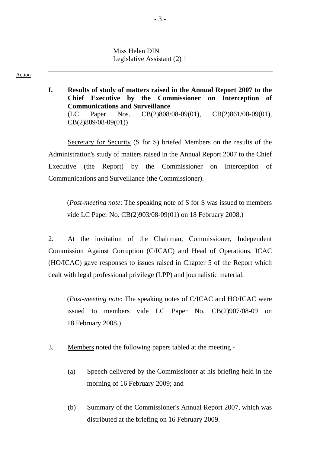Miss Helen DIN Legislative Assistant (2) 1

Action

**I. Results of study of matters raised in the Annual Report 2007 to the Chief Executive by the Commissioner on Interception of Communications and Surveillance**  (LC Paper Nos. CB(2)808/08-09(01), CB(2)861/08-09(01), CB(2)889/08-09(01))

Secretary for Security (S for S) briefed Members on the results of the Administration's study of matters raised in the Annual Report 2007 to the Chief Executive (the Report) by the Commissioner on Interception of Communications and Surveillance (the Commissioner).

(*Post-meeting note*: The speaking note of S for S was issued to members vide LC Paper No. CB(2)903/08-09(01) on 18 February 2008.)

2. At the invitation of the Chairman, Commissioner, Independent Commission Against Corruption (C/ICAC) and Head of Operations, ICAC (HO/ICAC) gave responses to issues raised in Chapter 5 of the Report which dealt with legal professional privilege (LPP) and journalistic material.

(*Post-meeting note*: The speaking notes of C/ICAC and HO/ICAC were issued to members vide LC Paper No. CB(2)907/08-09 on 18 February 2008.)

- 3. Members noted the following papers tabled at the meeting
	- (a) Speech delivered by the Commissioner at his briefing held in the morning of 16 February 2009; and
	- (b) Summary of the Commissioner's Annual Report 2007, which was distributed at the briefing on 16 February 2009.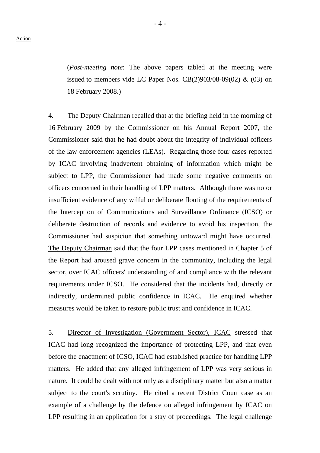(*Post-meeting note*: The above papers tabled at the meeting were issued to members vide LC Paper Nos.  $CB(2)903/08-09(02)$  &  $(03)$  on 18 February 2008.)

4. The Deputy Chairman recalled that at the briefing held in the morning of 16 February 2009 by the Commissioner on his Annual Report 2007, the Commissioner said that he had doubt about the integrity of individual officers of the law enforcement agencies (LEAs). Regarding those four cases reported by ICAC involving inadvertent obtaining of information which might be subject to LPP, the Commissioner had made some negative comments on officers concerned in their handling of LPP matters. Although there was no or insufficient evidence of any wilful or deliberate flouting of the requirements of the Interception of Communications and Surveillance Ordinance (ICSO) or deliberate destruction of records and evidence to avoid his inspection, the Commissioner had suspicion that something untoward might have occurred. The Deputy Chairman said that the four LPP cases mentioned in Chapter 5 of the Report had aroused grave concern in the community, including the legal sector, over ICAC officers' understanding of and compliance with the relevant requirements under ICSO. He considered that the incidents had, directly or indirectly, undermined public confidence in ICAC. He enquired whether measures would be taken to restore public trust and confidence in ICAC.

5. Director of Investigation (Government Sector), ICAC stressed that ICAC had long recognized the importance of protecting LPP, and that even before the enactment of ICSO, ICAC had established practice for handling LPP matters. He added that any alleged infringement of LPP was very serious in nature. It could be dealt with not only as a disciplinary matter but also a matter subject to the court's scrutiny. He cited a recent District Court case as an example of a challenge by the defence on alleged infringement by ICAC on LPP resulting in an application for a stay of proceedings. The legal challenge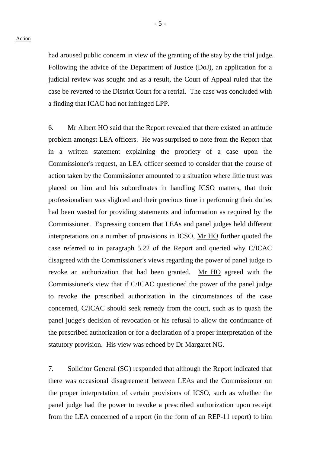had aroused public concern in view of the granting of the stay by the trial judge. Following the advice of the Department of Justice (DoJ), an application for a judicial review was sought and as a result, the Court of Appeal ruled that the case be reverted to the District Court for a retrial. The case was concluded with a finding that ICAC had not infringed LPP.

6. Mr Albert HO said that the Report revealed that there existed an attitude problem amongst LEA officers. He was surprised to note from the Report that in a written statement explaining the propriety of a case upon the Commissioner's request, an LEA officer seemed to consider that the course of action taken by the Commissioner amounted to a situation where little trust was placed on him and his subordinates in handling ICSO matters, that their professionalism was slighted and their precious time in performing their duties had been wasted for providing statements and information as required by the Commissioner. Expressing concern that LEAs and panel judges held different interpretations on a number of provisions in ICSO, Mr HO further quoted the case referred to in paragraph 5.22 of the Report and queried why C/ICAC disagreed with the Commissioner's views regarding the power of panel judge to revoke an authorization that had been granted. Mr HO agreed with the Commissioner's view that if C/ICAC questioned the power of the panel judge to revoke the prescribed authorization in the circumstances of the case concerned, C/ICAC should seek remedy from the court, such as to quash the panel judge's decision of revocation or his refusal to allow the continuance of the prescribed authorization or for a declaration of a proper interpretation of the statutory provision. His view was echoed by Dr Margaret NG.

7. Solicitor General (SG) responded that although the Report indicated that there was occasional disagreement between LEAs and the Commissioner on the proper interpretation of certain provisions of ICSO, such as whether the panel judge had the power to revoke a prescribed authorization upon receipt from the LEA concerned of a report (in the form of an REP-11 report) to him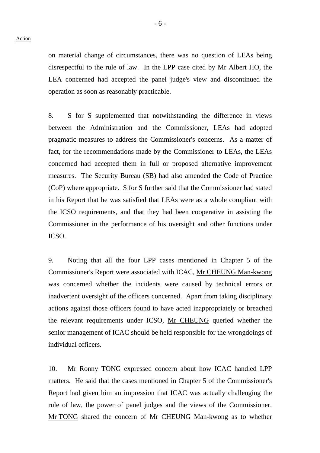on material change of circumstances, there was no question of LEAs being disrespectful to the rule of law. In the LPP case cited by Mr Albert HO, the LEA concerned had accepted the panel judge's view and discontinued the operation as soon as reasonably practicable.

8. S for S supplemented that notwithstanding the difference in views between the Administration and the Commissioner, LEAs had adopted pragmatic measures to address the Commissioner's concerns. As a matter of fact, for the recommendations made by the Commissioner to LEAs, the LEAs concerned had accepted them in full or proposed alternative improvement measures. The Security Bureau (SB) had also amended the Code of Practice (CoP) where appropriate.  $S$  for  $S$  further said that the Commissioner had stated in his Report that he was satisfied that LEAs were as a whole compliant with the ICSO requirements, and that they had been cooperative in assisting the Commissioner in the performance of his oversight and other functions under ICSO.

9. Noting that all the four LPP cases mentioned in Chapter 5 of the Commissioner's Report were associated with ICAC, Mr CHEUNG Man-kwong was concerned whether the incidents were caused by technical errors or inadvertent oversight of the officers concerned. Apart from taking disciplinary actions against those officers found to have acted inappropriately or breached the relevant requirements under ICSO, Mr CHEUNG queried whether the senior management of ICAC should be held responsible for the wrongdoings of individual officers.

10. Mr Ronny TONG expressed concern about how ICAC handled LPP matters. He said that the cases mentioned in Chapter 5 of the Commissioner's Report had given him an impression that ICAC was actually challenging the rule of law, the power of panel judges and the views of the Commissioner. Mr TONG shared the concern of Mr CHEUNG Man-kwong as to whether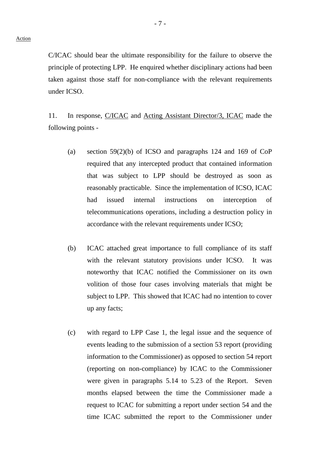C/ICAC should bear the ultimate responsibility for the failure to observe the principle of protecting LPP. He enquired whether disciplinary actions had been taken against those staff for non-compliance with the relevant requirements under ICSO.

11. In response, C/ICAC and Acting Assistant Director/3, ICAC made the following points -

- (a) section 59(2)(b) of ICSO and paragraphs 124 and 169 of CoP required that any intercepted product that contained information that was subject to LPP should be destroyed as soon as reasonably practicable. Since the implementation of ICSO, ICAC had issued internal instructions on interception of telecommunications operations, including a destruction policy in accordance with the relevant requirements under ICSO;
- (b) ICAC attached great importance to full compliance of its staff with the relevant statutory provisions under ICSO. It was noteworthy that ICAC notified the Commissioner on its own volition of those four cases involving materials that might be subject to LPP. This showed that ICAC had no intention to cover up any facts;
- (c) with regard to LPP Case 1, the legal issue and the sequence of events leading to the submission of a section 53 report (providing information to the Commissioner) as opposed to section 54 report (reporting on non-compliance) by ICAC to the Commissioner were given in paragraphs 5.14 to 5.23 of the Report. Seven months elapsed between the time the Commissioner made a request to ICAC for submitting a report under section 54 and the time ICAC submitted the report to the Commissioner under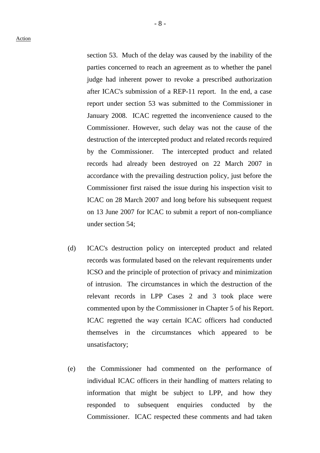Action

section 53. Much of the delay was caused by the inability of the parties concerned to reach an agreement as to whether the panel judge had inherent power to revoke a prescribed authorization after ICAC's submission of a REP-11 report. In the end, a case report under section 53 was submitted to the Commissioner in January 2008. ICAC regretted the inconvenience caused to the Commissioner. However, such delay was not the cause of the destruction of the intercepted product and related records required by the Commissioner. The intercepted product and related records had already been destroyed on 22 March 2007 in accordance with the prevailing destruction policy, just before the Commissioner first raised the issue during his inspection visit to ICAC on 28 March 2007 and long before his subsequent request on 13 June 2007 for ICAC to submit a report of non-compliance under section 54;

- (d) ICAC's destruction policy on intercepted product and related records was formulated based on the relevant requirements under ICSO and the principle of protection of privacy and minimization of intrusion. The circumstances in which the destruction of the relevant records in LPP Cases 2 and 3 took place were commented upon by the Commissioner in Chapter 5 of his Report. ICAC regretted the way certain ICAC officers had conducted themselves in the circumstances which appeared to be unsatisfactory;
- (e) the Commissioner had commented on the performance of individual ICAC officers in their handling of matters relating to information that might be subject to LPP, and how they responded to subsequent enquiries conducted by the Commissioner. ICAC respected these comments and had taken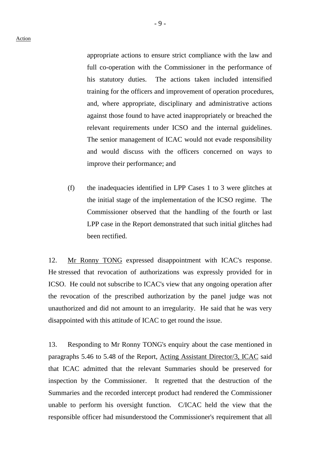appropriate actions to ensure strict compliance with the law and full co-operation with the Commissioner in the performance of his statutory duties. The actions taken included intensified training for the officers and improvement of operation procedures, and, where appropriate, disciplinary and administrative actions against those found to have acted inappropriately or breached the relevant requirements under ICSO and the internal guidelines. The senior management of ICAC would not evade responsibility and would discuss with the officers concerned on ways to improve their performance; and

(f) the inadequacies identified in LPP Cases 1 to 3 were glitches at the initial stage of the implementation of the ICSO regime. The Commissioner observed that the handling of the fourth or last LPP case in the Report demonstrated that such initial glitches had been rectified.

12. Mr Ronny TONG expressed disappointment with ICAC's response. He stressed that revocation of authorizations was expressly provided for in ICSO. He could not subscribe to ICAC's view that any ongoing operation after the revocation of the prescribed authorization by the panel judge was not unauthorized and did not amount to an irregularity. He said that he was very disappointed with this attitude of ICAC to get round the issue.

13. Responding to Mr Ronny TONG's enquiry about the case mentioned in paragraphs 5.46 to 5.48 of the Report, Acting Assistant Director/3, ICAC said that ICAC admitted that the relevant Summaries should be preserved for inspection by the Commissioner. It regretted that the destruction of the Summaries and the recorded intercept product had rendered the Commissioner unable to perform his oversight function. C/ICAC held the view that the responsible officer had misunderstood the Commissioner's requirement that all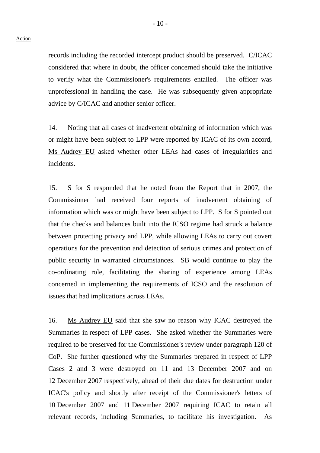records including the recorded intercept product should be preserved. C/ICAC considered that where in doubt, the officer concerned should take the initiative to verify what the Commissioner's requirements entailed. The officer was unprofessional in handling the case. He was subsequently given appropriate advice by C/ICAC and another senior officer.

14. Noting that all cases of inadvertent obtaining of information which was or might have been subject to LPP were reported by ICAC of its own accord, Ms Audrey EU asked whether other LEAs had cases of irregularities and incidents.

15. S for S responded that he noted from the Report that in 2007, the Commissioner had received four reports of inadvertent obtaining of information which was or might have been subject to LPP. S for S pointed out that the checks and balances built into the ICSO regime had struck a balance between protecting privacy and LPP, while allowing LEAs to carry out covert operations for the prevention and detection of serious crimes and protection of public security in warranted circumstances. SB would continue to play the co-ordinating role, facilitating the sharing of experience among LEAs concerned in implementing the requirements of ICSO and the resolution of issues that had implications across LEAs.

16. Ms Audrey EU said that she saw no reason why ICAC destroyed the Summaries in respect of LPP cases. She asked whether the Summaries were required to be preserved for the Commissioner's review under paragraph 120 of CoP. She further questioned why the Summaries prepared in respect of LPP Cases 2 and 3 were destroyed on 11 and 13 December 2007 and on 12 December 2007 respectively, ahead of their due dates for destruction under ICAC's policy and shortly after receipt of the Commissioner's letters of 10 December 2007 and 11 December 2007 requiring ICAC to retain all relevant records, including Summaries, to facilitate his investigation. As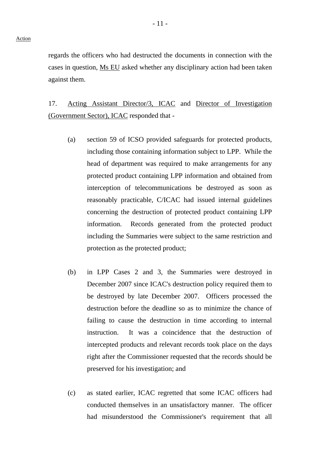regards the officers who had destructed the documents in connection with the cases in question, Ms EU asked whether any disciplinary action had been taken against them.

17. Acting Assistant Director/3, ICAC and Director of Investigation (Government Sector), ICAC responded that -

- (a) section 59 of ICSO provided safeguards for protected products, including those containing information subject to LPP. While the head of department was required to make arrangements for any protected product containing LPP information and obtained from interception of telecommunications be destroyed as soon as reasonably practicable, C/ICAC had issued internal guidelines concerning the destruction of protected product containing LPP information. Records generated from the protected product including the Summaries were subject to the same restriction and protection as the protected product;
- (b) in LPP Cases 2 and 3, the Summaries were destroyed in December 2007 since ICAC's destruction policy required them to be destroyed by late December 2007. Officers processed the destruction before the deadline so as to minimize the chance of failing to cause the destruction in time according to internal instruction. It was a coincidence that the destruction of intercepted products and relevant records took place on the days right after the Commissioner requested that the records should be preserved for his investigation; and
- (c) as stated earlier, ICAC regretted that some ICAC officers had conducted themselves in an unsatisfactory manner. The officer had misunderstood the Commissioner's requirement that all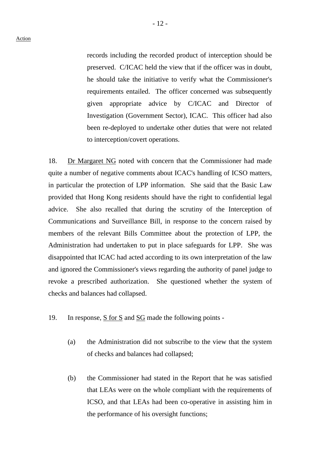records including the recorded product of interception should be preserved. C/ICAC held the view that if the officer was in doubt, he should take the initiative to verify what the Commissioner's requirements entailed. The officer concerned was subsequently given appropriate advice by C/ICAC and Director of Investigation (Government Sector), ICAC. This officer had also been re-deployed to undertake other duties that were not related to interception/covert operations.

18. Dr Margaret NG noted with concern that the Commissioner had made quite a number of negative comments about ICAC's handling of ICSO matters, in particular the protection of LPP information. She said that the Basic Law provided that Hong Kong residents should have the right to confidential legal advice. She also recalled that during the scrutiny of the Interception of Communications and Surveillance Bill, in response to the concern raised by members of the relevant Bills Committee about the protection of LPP, the Administration had undertaken to put in place safeguards for LPP. She was disappointed that ICAC had acted according to its own interpretation of the law and ignored the Commissioner's views regarding the authority of panel judge to revoke a prescribed authorization. She questioned whether the system of checks and balances had collapsed.

- 19. In response, S for S and SG made the following points
	- (a) the Administration did not subscribe to the view that the system of checks and balances had collapsed;
	- (b) the Commissioner had stated in the Report that he was satisfied that LEAs were on the whole compliant with the requirements of ICSO, and that LEAs had been co-operative in assisting him in the performance of his oversight functions;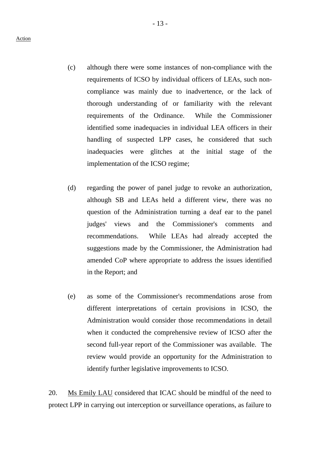- (c) although there were some instances of non-compliance with the requirements of ICSO by individual officers of LEAs, such noncompliance was mainly due to inadvertence, or the lack of thorough understanding of or familiarity with the relevant requirements of the Ordinance. While the Commissioner identified some inadequacies in individual LEA officers in their handling of suspected LPP cases, he considered that such inadequacies were glitches at the initial stage of the implementation of the ICSO regime;
- (d) regarding the power of panel judge to revoke an authorization, although SB and LEAs held a different view, there was no question of the Administration turning a deaf ear to the panel judges' views and the Commissioner's comments and recommendations. While LEAs had already accepted the suggestions made by the Commissioner, the Administration had amended CoP where appropriate to address the issues identified in the Report; and
- (e) as some of the Commissioner's recommendations arose from different interpretations of certain provisions in ICSO, the Administration would consider those recommendations in detail when it conducted the comprehensive review of ICSO after the second full-year report of the Commissioner was available. The review would provide an opportunity for the Administration to identify further legislative improvements to ICSO.

20. Ms Emily LAU considered that ICAC should be mindful of the need to protect LPP in carrying out interception or surveillance operations, as failure to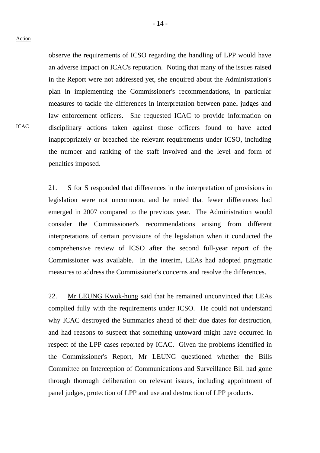## Action

ICAC

observe the requirements of ICSO regarding the handling of LPP would have an adverse impact on ICAC's reputation. Noting that many of the issues raised in the Report were not addressed yet, she enquired about the Administration's plan in implementing the Commissioner's recommendations, in particular measures to tackle the differences in interpretation between panel judges and law enforcement officers. She requested ICAC to provide information on disciplinary actions taken against those officers found to have acted inappropriately or breached the relevant requirements under ICSO, including the number and ranking of the staff involved and the level and form of penalties imposed.

21. S for S responded that differences in the interpretation of provisions in legislation were not uncommon, and he noted that fewer differences had emerged in 2007 compared to the previous year. The Administration would consider the Commissioner's recommendations arising from different interpretations of certain provisions of the legislation when it conducted the comprehensive review of ICSO after the second full-year report of the Commissioner was available. In the interim, LEAs had adopted pragmatic measures to address the Commissioner's concerns and resolve the differences.

22. Mr LEUNG Kwok-hung said that he remained unconvinced that LEAs complied fully with the requirements under ICSO. He could not understand why ICAC destroyed the Summaries ahead of their due dates for destruction, and had reasons to suspect that something untoward might have occurred in respect of the LPP cases reported by ICAC. Given the problems identified in the Commissioner's Report, Mr LEUNG questioned whether the Bills Committee on Interception of Communications and Surveillance Bill had gone through thorough deliberation on relevant issues, including appointment of panel judges, protection of LPP and use and destruction of LPP products.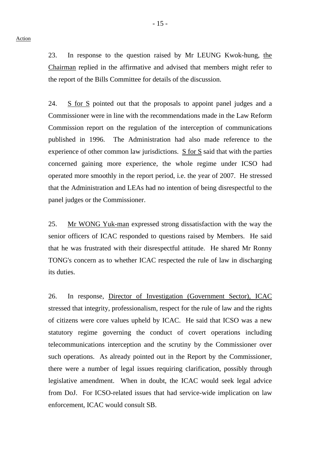23. In response to the question raised by Mr LEUNG Kwok-hung, the Chairman replied in the affirmative and advised that members might refer to the report of the Bills Committee for details of the discussion.

24. S for S pointed out that the proposals to appoint panel judges and a Commissioner were in line with the recommendations made in the Law Reform Commission report on the regulation of the interception of communications published in 1996. The Administration had also made reference to the experience of other common law jurisdictions. S for S said that with the parties concerned gaining more experience, the whole regime under ICSO had operated more smoothly in the report period, i.e. the year of 2007. He stressed that the Administration and LEAs had no intention of being disrespectful to the panel judges or the Commissioner.

25. Mr WONG Yuk-man expressed strong dissatisfaction with the way the senior officers of ICAC responded to questions raised by Members. He said that he was frustrated with their disrespectful attitude. He shared Mr Ronny TONG's concern as to whether ICAC respected the rule of law in discharging its duties.

26. In response, Director of Investigation (Government Sector), ICAC stressed that integrity, professionalism, respect for the rule of law and the rights of citizens were core values upheld by ICAC. He said that ICSO was a new statutory regime governing the conduct of covert operations including telecommunications interception and the scrutiny by the Commissioner over such operations. As already pointed out in the Report by the Commissioner, there were a number of legal issues requiring clarification, possibly through legislative amendment. When in doubt, the ICAC would seek legal advice from DoJ. For ICSO-related issues that had service-wide implication on law enforcement, ICAC would consult SB.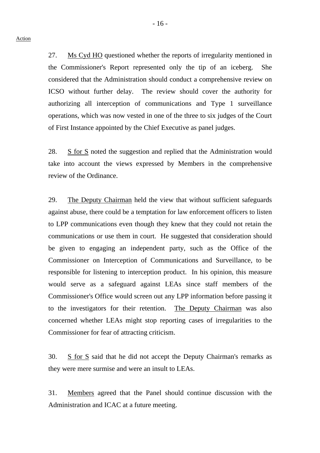27. Ms Cyd HO questioned whether the reports of irregularity mentioned in the Commissioner's Report represented only the tip of an iceberg. She considered that the Administration should conduct a comprehensive review on ICSO without further delay. The review should cover the authority for authorizing all interception of communications and Type 1 surveillance operations, which was now vested in one of the three to six judges of the Court of First Instance appointed by the Chief Executive as panel judges.

28. S for S noted the suggestion and replied that the Administration would take into account the views expressed by Members in the comprehensive review of the Ordinance.

29. The Deputy Chairman held the view that without sufficient safeguards against abuse, there could be a temptation for law enforcement officers to listen to LPP communications even though they knew that they could not retain the communications or use them in court. He suggested that consideration should be given to engaging an independent party, such as the Office of the Commissioner on Interception of Communications and Surveillance, to be responsible for listening to interception product. In his opinion, this measure would serve as a safeguard against LEAs since staff members of the Commissioner's Office would screen out any LPP information before passing it to the investigators for their retention. The Deputy Chairman was also concerned whether LEAs might stop reporting cases of irregularities to the Commissioner for fear of attracting criticism.

30. S for S said that he did not accept the Deputy Chairman's remarks as they were mere surmise and were an insult to LEAs.

31. Members agreed that the Panel should continue discussion with the Administration and ICAC at a future meeting.